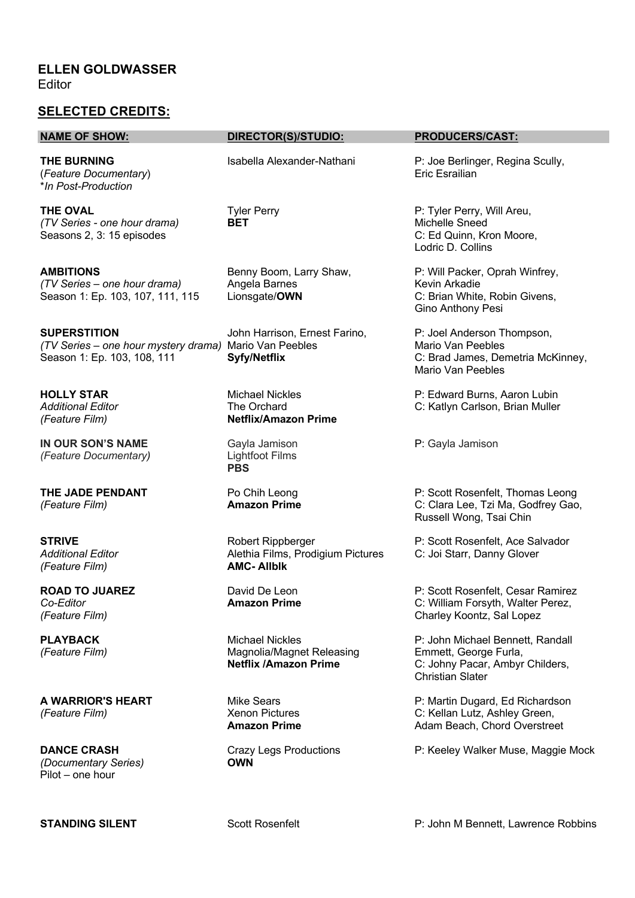## **ELLEN GOLDWASSER** Editor

## **SELECTED CREDITS:**

| <b>NAME OF SHOW:</b>                                                                       | DIRECTOR(S)/STUDIO:                                                                 | <b>PRODUCERS/CAST:</b>                                                                                                  |
|--------------------------------------------------------------------------------------------|-------------------------------------------------------------------------------------|-------------------------------------------------------------------------------------------------------------------------|
| <b>THE BURNING</b><br>(Feature Documentary)<br>*In Post-Production                         | Isabella Alexander-Nathani                                                          | P: Joe Berlinger, Regina Scully,<br>Eric Esrailian                                                                      |
| <b>THE OVAL</b><br>(TV Series - one hour drama)<br>Seasons 2, 3: 15 episodes               | <b>Tyler Perry</b><br><b>BET</b>                                                    | P: Tyler Perry, Will Areu,<br>Michelle Sneed<br>C: Ed Quinn, Kron Moore,<br>Lodric D. Collins                           |
| <b>AMBITIONS</b><br>(TV Series - one hour drama)<br>Season 1: Ep. 103, 107, 111, 115       | Benny Boom, Larry Shaw,<br>Angela Barnes<br>Lionsgate/OWN                           | P: Will Packer, Oprah Winfrey,<br>Kevin Arkadie<br>C: Brian White, Robin Givens,<br>Gino Anthony Pesi                   |
| <b>SUPERSTITION</b><br>(TV Series - one hour mystery drama)<br>Season 1: Ep. 103, 108, 111 | John Harrison, Ernest Farino,<br>Mario Van Peebles<br><b>Syfy/Netflix</b>           | P: Joel Anderson Thompson,<br>Mario Van Peebles<br>C: Brad James, Demetria McKinney,<br>Mario Van Peebles               |
| <b>HOLLY STAR</b><br><b>Additional Editor</b><br>(Feature Film)                            | <b>Michael Nickles</b><br>The Orchard<br><b>Netflix/Amazon Prime</b>                | P: Edward Burns, Aaron Lubin<br>C: Katlyn Carlson, Brian Muller                                                         |
| IN OUR SON'S NAME<br>(Feature Documentary)                                                 | Gayla Jamison<br><b>Lightfoot Films</b><br><b>PBS</b>                               | P: Gayla Jamison                                                                                                        |
| THE JADE PENDANT<br>(Feature Film)                                                         | Po Chih Leong<br><b>Amazon Prime</b>                                                | P: Scott Rosenfelt, Thomas Leong<br>C: Clara Lee, Tzi Ma, Godfrey Gao,<br>Russell Wong, Tsai Chin                       |
| <b>STRIVE</b><br><b>Additional Editor</b><br>(Feature Film)                                | <b>Robert Rippberger</b><br>Alethia Films, Prodigium Pictures<br><b>AMC-Allblk</b>  | P: Scott Rosenfelt, Ace Salvador<br>C: Joi Starr, Danny Glover                                                          |
| <b>ROAD TO JUAREZ</b><br>Co-Editor<br>(Feature Film)                                       | David De Leon<br><b>Amazon Prime</b>                                                | P: Scott Rosenfelt, Cesar Ramirez<br>C: William Forsyth, Walter Perez,<br>Charley Koontz, Sal Lopez                     |
| <b>PLAYBACK</b><br>(Feature Film)                                                          | <b>Michael Nickles</b><br>Magnolia/Magnet Releasing<br><b>Netflix /Amazon Prime</b> | P: John Michael Bennett, Randall<br>Emmett, George Furla,<br>C: Johny Pacar, Ambyr Childers,<br><b>Christian Slater</b> |
| A WARRIOR'S HEART<br>(Feature Film)                                                        | <b>Mike Sears</b><br><b>Xenon Pictures</b><br><b>Amazon Prime</b>                   | P: Martin Dugard, Ed Richardson<br>C: Kellan Lutz, Ashley Green,<br>Adam Beach, Chord Overstreet                        |
| <b>DANCE CRASH</b><br>(Documentary Series)<br>Pilot - one hour                             | <b>Crazy Legs Productions</b><br><b>OWN</b>                                         | P: Keeley Walker Muse, Maggie Mock                                                                                      |
| <b>STANDING SILENT</b>                                                                     | <b>Scott Rosenfelt</b>                                                              | P: John M Bennett, Lawrence Robbins                                                                                     |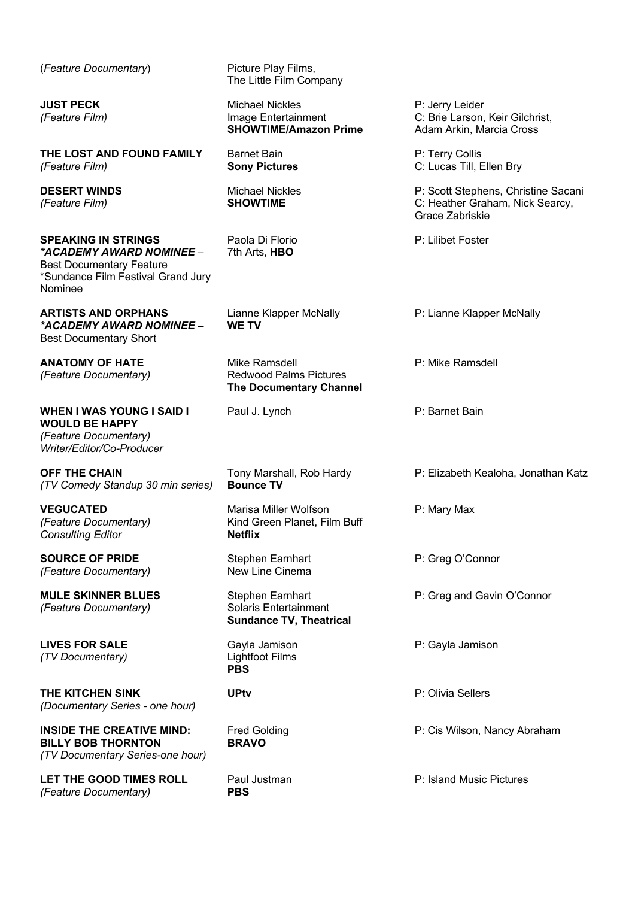(*Feature Documentary*) Picture Play Films, **JUST PECK** *(Feature Film)* Michael Nickles Image Entertainment **THE LOST AND FOUND FAMILY** *(Feature Film)* Barnet Bain **Sony Pictures DESERT WINDS** *(Feature Film)* Michael Nickles **SHOWTIME SPEAKING IN STRINGS** *\*ACADEMY AWARD NOMINEE –* Best Documentary Feature \*Sundance Film Festival Grand Jury Nominee Paola Di Florio 7th Arts, **HBO ARTISTS AND ORPHANS** *\*ACADEMY AWARD NOMINEE –* Best Documentary Short **WE TV ANATOMY OF HATE** *(Feature Documentary)* Mike Ramsdell **WHEN I WAS YOUNG I SAID I WOULD BE HAPPY**  *(Feature Documentary) Writer/Editor/Co-Producer* Paul J. Lynch P: Barnet Bain **OFF THE CHAIN** *(TV Comedy Standup 30 min series)*  **Bounce TV VEGUCATED** *(Feature Documentary) Consulting Editor* Marisa Miller Wolfson **Netflix SOURCE OF PRIDE** *(Feature Documentary)* Stephen Earnhart New Line Cinema **MULE SKINNER BLUES** *(Feature Documentary)* Stephen Earnhart Solaris Entertainment

**LIVES FOR SALE** *(TV Documentary)*

**THE KITCHEN SINK**  *(Documentary Series - one hour)*

**INSIDE THE CREATIVE MIND: BILLY BOB THORNTON** *(TV Documentary Series-one hour)*

**LET THE GOOD TIMES ROLL**  *(Feature Documentary)*

The Little Film Company

**SHOWTIME/Amazon Prime**

Lianne Klapper McNally

Redwood Palms Pictures **The Documentary Channel**

Tony Marshall, Rob Hardy

Kind Green Planet, Film Buff

**Sundance TV, Theatrical**

Gayla Jamison Lightfoot Films **PBS**

Fred Golding **BRAVO**

Paul Justman **PBS**

P: Jerry Leider C: Brie Larson, Keir Gilchrist, Adam Arkin, Marcia Cross

P: Terry Collis C: Lucas Till, Ellen Bry

P: Scott Stephens, Christine Sacani C: Heather Graham, Nick Searcy, Grace Zabriskie

P: Lilibet Foster

P: Lianne Klapper McNally

P: Mike Ramsdell

P: Elizabeth Kealoha, Jonathan Katz

P: Mary Max

P: Greg O'Connor

P: Greg and Gavin O'Connor

P: Gayla Jamison

**UPtv** P: Olivia Sellers

P: Cis Wilson, Nancy Abraham

P: Island Music Pictures